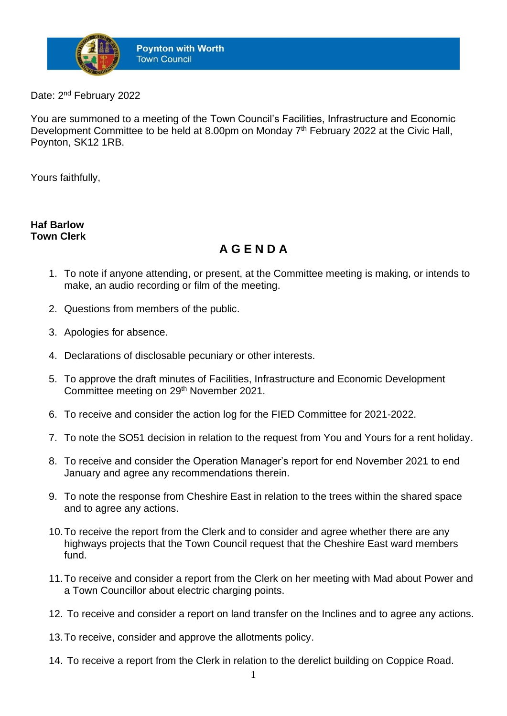

Date: 2<sup>nd</sup> February 2022

You are summoned to a meeting of the Town Council's Facilities, Infrastructure and Economic Development Committee to be held at 8.00pm on Monday 7<sup>th</sup> February 2022 at the Civic Hall, Poynton, SK12 1RB.

Yours faithfully,

## **Haf Barlow Town Clerk**

## **A G E N D A**

- 1. To note if anyone attending, or present, at the Committee meeting is making, or intends to make, an audio recording or film of the meeting.
- 2. Questions from members of the public.
- 3. Apologies for absence.
- 4. Declarations of disclosable pecuniary or other interests.
- 5. To approve the draft minutes of Facilities, Infrastructure and Economic Development Committee meeting on 29<sup>th</sup> November 2021.
- 6. To receive and consider the action log for the FIED Committee for 2021-2022.
- 7. To note the SO51 decision in relation to the request from You and Yours for a rent holiday.
- 8. To receive and consider the Operation Manager's report for end November 2021 to end January and agree any recommendations therein.
- 9. To note the response from Cheshire East in relation to the trees within the shared space and to agree any actions.
- 10.To receive the report from the Clerk and to consider and agree whether there are any highways projects that the Town Council request that the Cheshire East ward members fund.
- 11.To receive and consider a report from the Clerk on her meeting with Mad about Power and a Town Councillor about electric charging points.
- 12. To receive and consider a report on land transfer on the Inclines and to agree any actions.
- 13.To receive, consider and approve the allotments policy.
- 14. To receive a report from the Clerk in relation to the derelict building on Coppice Road.